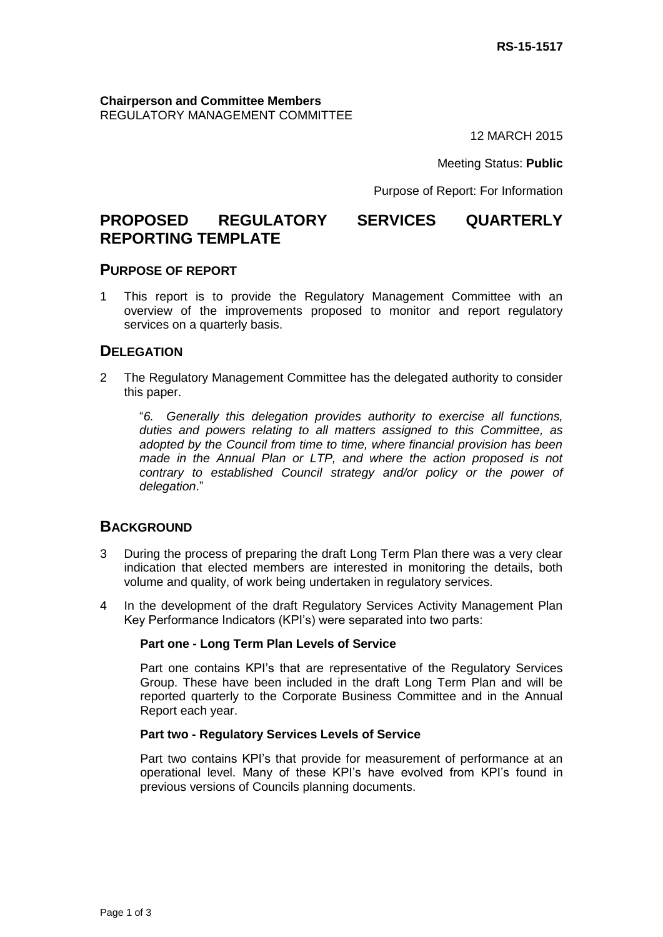**Chairperson and Committee Members** REGULATORY MANAGEMENT COMMITTEE

12 MARCH 2015

Meeting Status: **Public**

Purpose of Report: For Information

# **PROPOSED REGULATORY SERVICES QUARTERLY REPORTING TEMPLATE**

### **PURPOSE OF REPORT**

1 This report is to provide the Regulatory Management Committee with an overview of the improvements proposed to monitor and report regulatory services on a quarterly basis.

### **DELEGATION**

2 The Regulatory Management Committee has the delegated authority to consider this paper.

"*6. Generally this delegation provides authority to exercise all functions, duties and powers relating to all matters assigned to this Committee, as adopted by the Council from time to time, where financial provision has been made in the Annual Plan or LTP, and where the action proposed is not contrary to established Council strategy and/or policy or the power of delegation*."

### **BACKGROUND**

- 3 During the process of preparing the draft Long Term Plan there was a very clear indication that elected members are interested in monitoring the details, both volume and quality, of work being undertaken in regulatory services.
- 4 In the development of the draft Regulatory Services Activity Management Plan Key Performance Indicators (KPI's) were separated into two parts:

#### **Part one - Long Term Plan Levels of Service**

Part one contains KPI's that are representative of the Regulatory Services Group. These have been included in the draft Long Term Plan and will be reported quarterly to the Corporate Business Committee and in the Annual Report each year.

#### **Part two - Regulatory Services Levels of Service**

Part two contains KPI's that provide for measurement of performance at an operational level. Many of these KPI's have evolved from KPI's found in previous versions of Councils planning documents.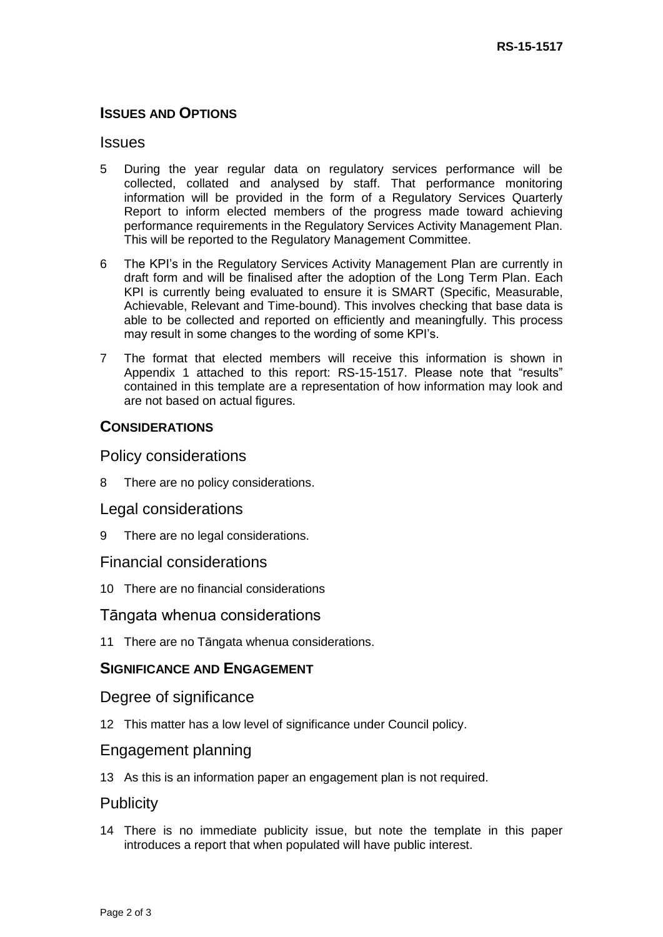## **ISSUES AND OPTIONS**

### **Issues**

- 5 During the year regular data on regulatory services performance will be collected, collated and analysed by staff. That performance monitoring information will be provided in the form of a Regulatory Services Quarterly Report to inform elected members of the progress made toward achieving performance requirements in the Regulatory Services Activity Management Plan. This will be reported to the Regulatory Management Committee.
- 6 The KPI's in the Regulatory Services Activity Management Plan are currently in draft form and will be finalised after the adoption of the Long Term Plan. Each KPI is currently being evaluated to ensure it is SMART (Specific, Measurable, Achievable, Relevant and Time-bound). This involves checking that base data is able to be collected and reported on efficiently and meaningfully. This process may result in some changes to the wording of some KPI's.
- 7 The format that elected members will receive this information is shown in Appendix 1 attached to this report: RS-15-1517. Please note that "results" contained in this template are a representation of how information may look and are not based on actual figures.

## **CONSIDERATIONS**

## Policy considerations

8 There are no policy considerations.

### Legal considerations

9 There are no legal considerations.

## Financial considerations

10 There are no financial considerations

## Tāngata whenua considerations

11 There are no Tāngata whenua considerations.

### **SIGNIFICANCE AND ENGAGEMENT**

### Degree of significance

12 This matter has a low level of significance under Council policy.

## Engagement planning

13 As this is an information paper an engagement plan is not required.

## **Publicity**

14 There is no immediate publicity issue, but note the template in this paper introduces a report that when populated will have public interest.